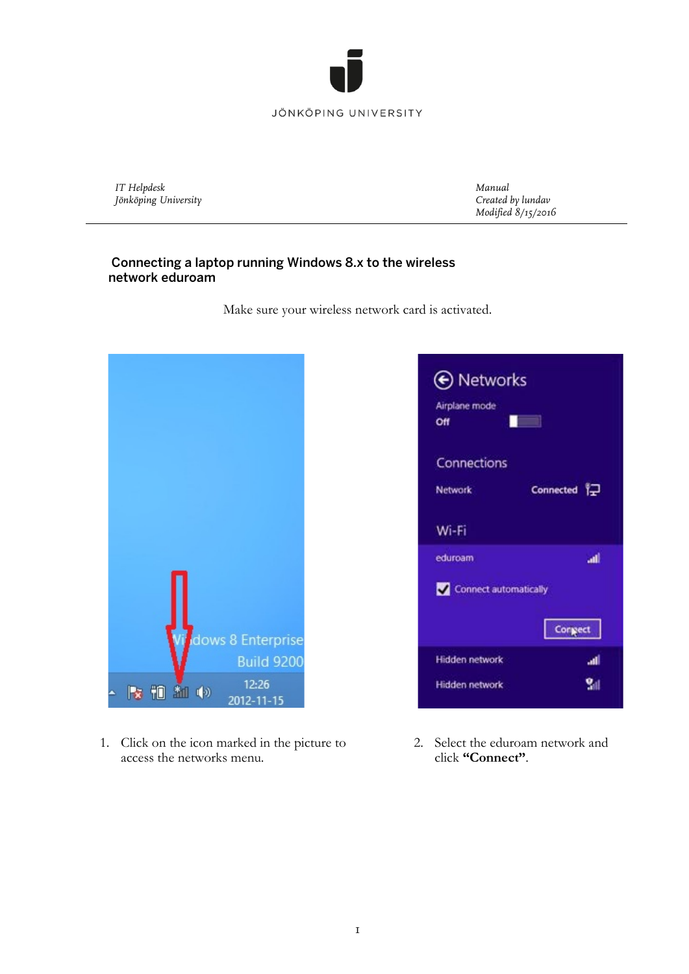

## JÖNKÖPING UNIVERSITY

*IT Helpdesk Jönköping University* *Manual Created by lundav Modified 8/15/2016*

## Connecting a laptop running Windows 8.x to the wireless network eduroam

Make sure your wireless network card is activated.



1. Click on the icon marked in the picture to access the networks menu.



2. Select the eduroam network and click **"Connect"**.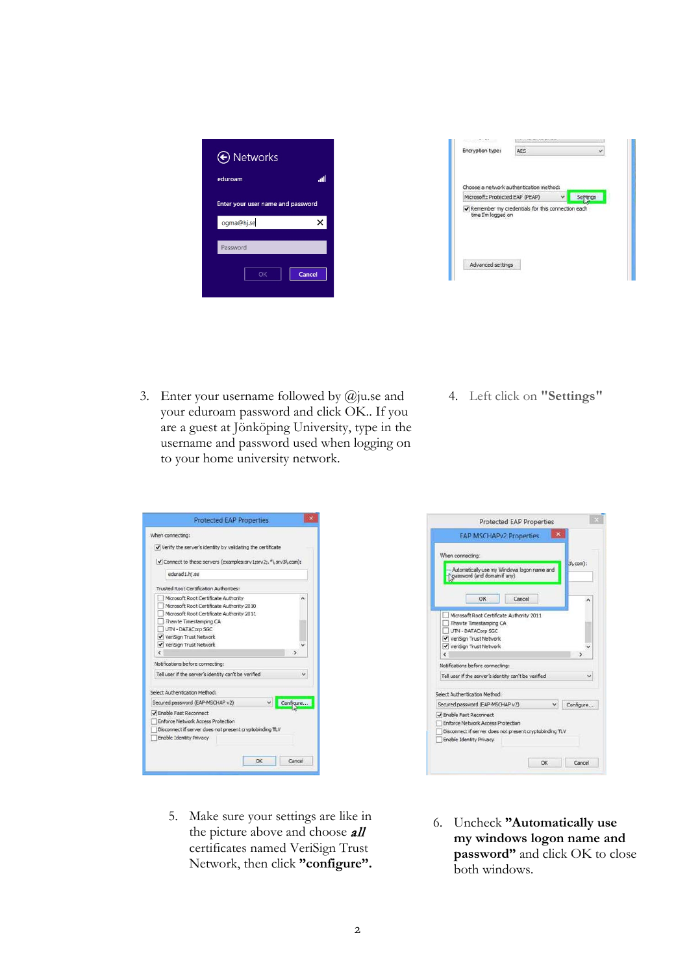| ← Networks                        |        |  |  |  |  |  |  |
|-----------------------------------|--------|--|--|--|--|--|--|
| eduroam                           | اللب   |  |  |  |  |  |  |
| Enter your user name and password |        |  |  |  |  |  |  |
| ogma@hj.se                        | ×      |  |  |  |  |  |  |
| Password                          |        |  |  |  |  |  |  |
| OK                                | Cancel |  |  |  |  |  |  |

| Encryption type:                                                       | <b>AES</b> |  |  |
|------------------------------------------------------------------------|------------|--|--|
|                                                                        |            |  |  |
| Choose a network authentication method:                                |            |  |  |
| Microsoft: Protected EAP (PEAP)                                        |            |  |  |
| Remember my credentials for this connection each<br>time I'm logged on |            |  |  |
|                                                                        |            |  |  |

- 3. Enter your username followed by @ju.se and your eduroam password and click OK.. If you are a guest at Jönköping University, type in the username and password used when logging on to your home university network.
- 4. Left click on **"Settings"**

| Verify the server's identity by validating the certificate     |           |
|----------------------------------------------------------------|-----------|
| √ Connect to these servers (examples:srv1;srv2;.*\.srv3\.com): |           |
| edurad 1.hi.se                                                 |           |
| Trusted Root Certification Authorities:                        |           |
| Microsoft Root Certificate Authority                           |           |
| Microsoft Root Certificate Authority 2010                      |           |
| Microsoft Root Certificate Authority 2011                      |           |
| Thawte Timestamping CA                                         |           |
| UTN - DATACorp SGC                                             |           |
| VeriSign Trust Network                                         |           |
| VeriSign Trust Network                                         |           |
|                                                                |           |
| Notifications before connecting:                               |           |
| Tell user if the server's identity can't be verified           |           |
| Select Authentication Method:                                  |           |
| Secured password (EAP-MSCHAP v2)                               | Configure |
| √ Enable Fast Reconnect                                        |           |
| Enforce Network Access Protection                              |           |
| Disconnect if server does not present cryptobinding TLV        |           |
| Enable Identity Privacy                                        |           |
|                                                                |           |



- 5. Make sure your settings are like in the picture above and choose **all** certificates named VeriSign Trust Network, then click **"configure".**
- 6. Uncheck **"Automatically use my windows logon name and password"** and click OK to close both windows.